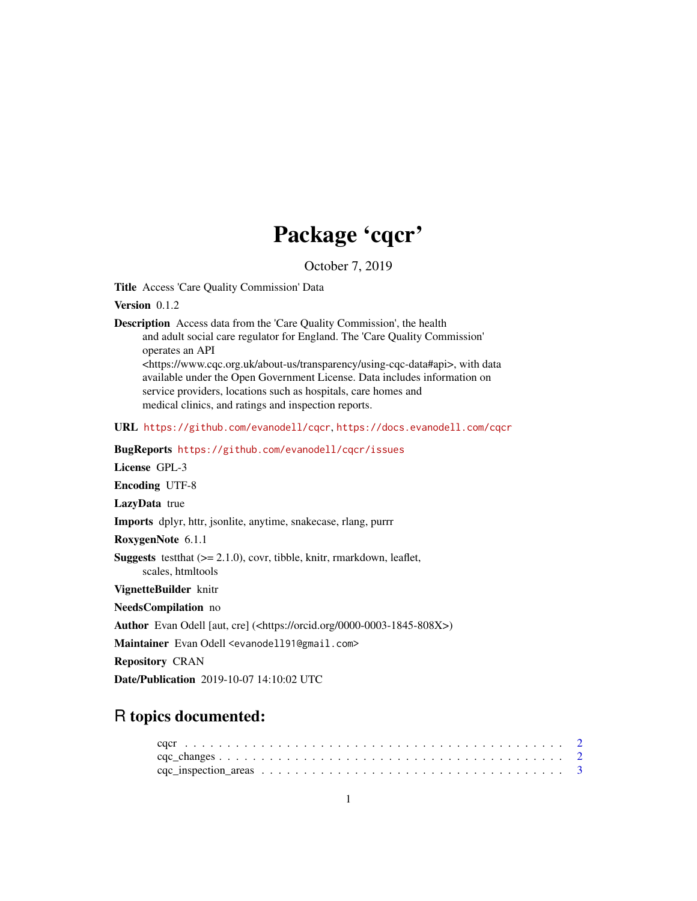## Package 'cqcr'

October 7, 2019

<span id="page-0-0"></span>Title Access 'Care Quality Commission' Data

Version 0.1.2

Description Access data from the 'Care Quality Commission', the health and adult social care regulator for England. The 'Care Quality Commission' operates an API <https://www.cqc.org.uk/about-us/transparency/using-cqc-data#api>, with data available under the Open Government License. Data includes information on service providers, locations such as hospitals, care homes and medical clinics, and ratings and inspection reports.

URL <https://github.com/evanodell/cqcr>, <https://docs.evanodell.com/cqcr>

BugReports <https://github.com/evanodell/cqcr/issues>

License GPL-3

Encoding UTF-8

LazyData true

Imports dplyr, httr, jsonlite, anytime, snakecase, rlang, purrr

RoxygenNote 6.1.1

**Suggests** testthat  $(>= 2.1.0)$ , covr, tibble, knitr, rmarkdown, leaflet, scales, htmltools

VignetteBuilder knitr

NeedsCompilation no

Author Evan Odell [aut, cre] (<https://orcid.org/0000-0003-1845-808X>)

Maintainer Evan Odell <evanodell91@gmail.com>

Repository CRAN

Date/Publication 2019-10-07 14:10:02 UTC

## R topics documented: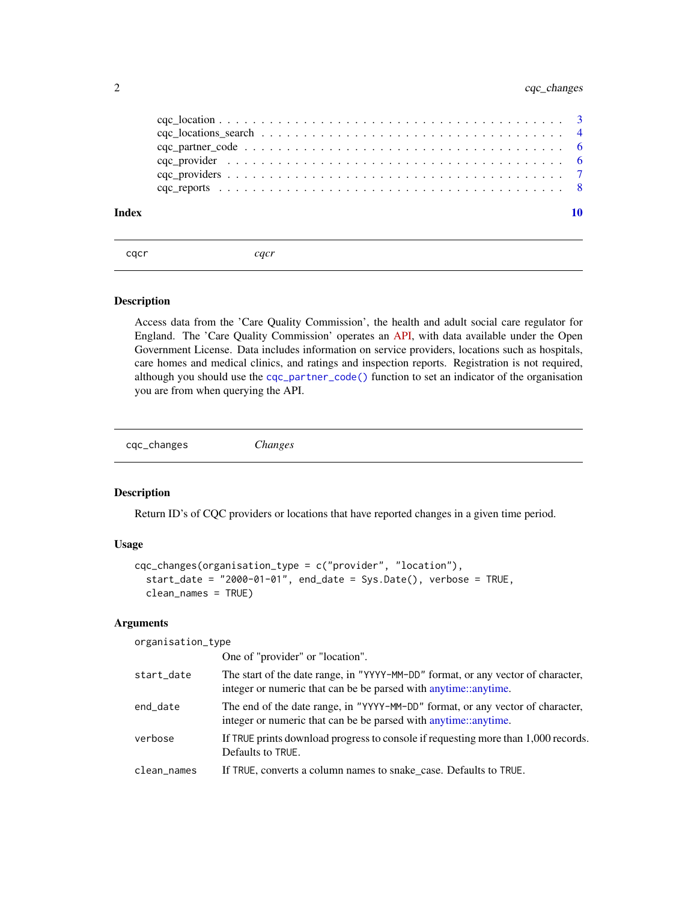<span id="page-1-0"></span>

| Index |  |
|-------|--|
|       |  |
|       |  |
|       |  |
|       |  |
|       |  |
|       |  |

cqcr *cqcr*

#### Description

Access data from the 'Care Quality Commission', the health and adult social care regulator for England. The 'Care Quality Commission' operates an [API,](https://www.cqc.org.uk/about-us/transparency/using-cqc-data#api) with data available under the Open Government License. Data includes information on service providers, locations such as hospitals, care homes and medical clinics, and ratings and inspection reports. Registration is not required, although you should use the [cqc\\_partner\\_code\(\)](#page-5-1) function to set an indicator of the organisation you are from when querying the API.

cqc\_changes *Changes*

#### Description

Return ID's of CQC providers or locations that have reported changes in a given time period.

#### Usage

```
cqc_changes(organisation_type = c("provider", "location"),
  start_date = "2000-01-01", end_date = Sys.Date(), verbose = TRUE,
  clean_names = TRUE)
```
#### Arguments

organisation\_type

One of "provider" or "location".

| start_date  | The start of the date range, in "YYYY-MM-DD" format, or any vector of character,<br>integer or numeric that can be be parsed with anytime::anytime. |
|-------------|-----------------------------------------------------------------------------------------------------------------------------------------------------|
| end_date    | The end of the date range, in "YYYY-MM-DD" format, or any vector of character,<br>integer or numeric that can be be parsed with anytime::anytime.   |
| verbose     | If TRUE prints download progress to console if requesting more than 1,000 records.<br>Defaults to TRUE.                                             |
| clean_names | If TRUE, converts a column names to snake_case. Defaults to TRUE.                                                                                   |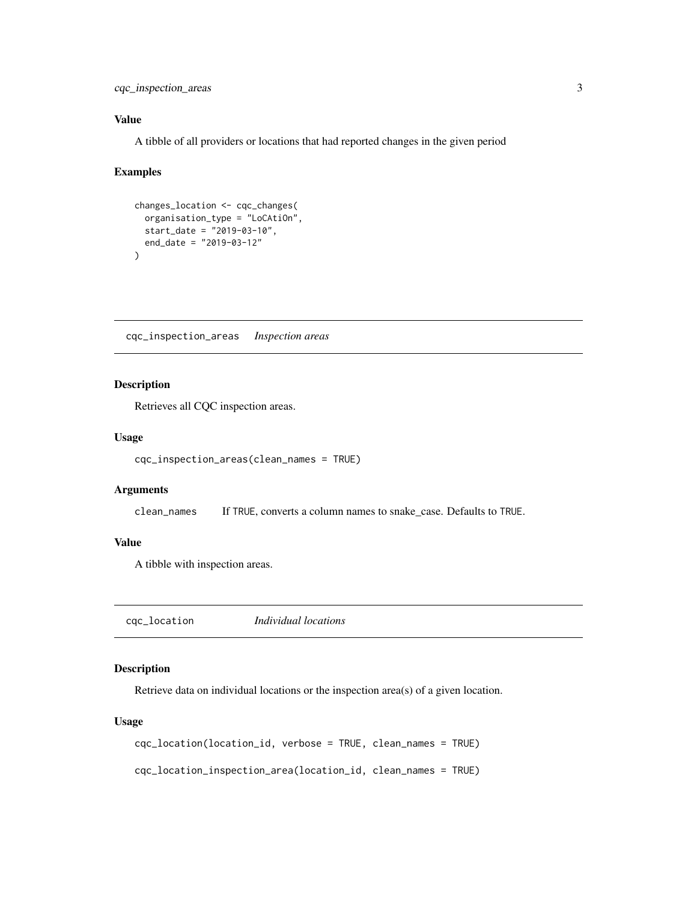<span id="page-2-0"></span>cqc\_inspection\_areas 3

#### Value

A tibble of all providers or locations that had reported changes in the given period

#### Examples

```
changes_location <- cqc_changes(
  organisation_type = "LoCAtiOn",
  start_date = "2019-03-10",
  end_date = "2019-03-12"
\mathcal{L}
```
cqc\_inspection\_areas *Inspection areas*

#### Description

Retrieves all CQC inspection areas.

#### Usage

```
cqc_inspection_areas(clean_names = TRUE)
```
#### Arguments

clean\_names If TRUE, converts a column names to snake\_case. Defaults to TRUE.

#### Value

A tibble with inspection areas.

cqc\_location *Individual locations*

#### Description

Retrieve data on individual locations or the inspection area(s) of a given location.

#### Usage

cqc\_location(location\_id, verbose = TRUE, clean\_names = TRUE)

cqc\_location\_inspection\_area(location\_id, clean\_names = TRUE)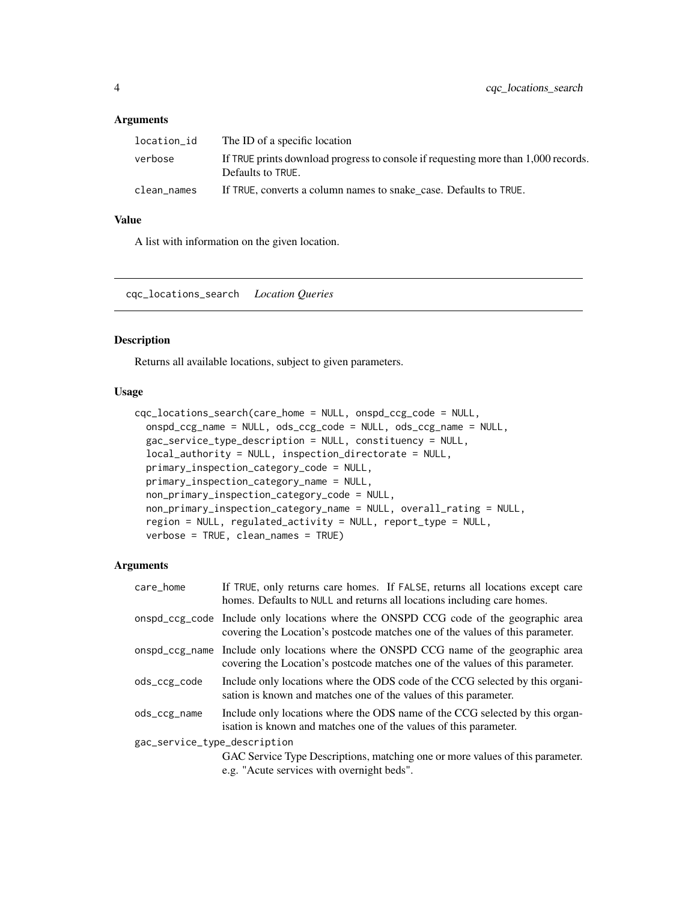#### <span id="page-3-0"></span>Arguments

| location_id | The ID of a specific location                                                                           |
|-------------|---------------------------------------------------------------------------------------------------------|
| verbose     | If TRUE prints download progress to console if requesting more than 1,000 records.<br>Defaults to TRUE. |
| clean names | If TRUE, converts a column names to snake case. Defaults to TRUE.                                       |

#### Value

A list with information on the given location.

cqc\_locations\_search *Location Queries*

#### Description

Returns all available locations, subject to given parameters.

#### Usage

```
cqc_locations_search(care_home = NULL, onspd_ccg_code = NULL,
 onspd_ccg_name = NULL, ods_ccg_code = NULL, ods_ccg_name = NULL,
 gac_service_type_description = NULL, constituency = NULL,
 local_authority = NULL, inspection_directorate = NULL,
 primary_inspection_category_code = NULL,
 primary_inspection_category_name = NULL,
 non_primary_inspection_category_code = NULL,
 non_primary_inspection_category_name = NULL, overall_rating = NULL,
  region = NULL, regulated_activity = NULL, report_type = NULL,
  verbose = TRUE, clean_names = TRUE)
```

| care_home                    | If TRUE, only returns care homes. If FALSE, returns all locations except care<br>homes. Defaults to NULL and returns all locations including care homes.               |  |  |  |
|------------------------------|------------------------------------------------------------------------------------------------------------------------------------------------------------------------|--|--|--|
|                              | onspd_ccg_code Include only locations where the ONSPD CCG code of the geographic area<br>covering the Location's postcode matches one of the values of this parameter. |  |  |  |
|                              | onspd_ccg_name Include only locations where the ONSPD CCG name of the geographic area<br>covering the Location's postcode matches one of the values of this parameter. |  |  |  |
| ods_ccg_code                 | Include only locations where the ODS code of the CCG selected by this organi-<br>sation is known and matches one of the values of this parameter.                      |  |  |  |
| ods_ccg_name                 | Include only locations where the ODS name of the CCG selected by this organ-<br>isation is known and matches one of the values of this parameter.                      |  |  |  |
| gac_service_type_description |                                                                                                                                                                        |  |  |  |
|                              | GAC Service Type Descriptions, matching one or more values of this parameter.<br>e.g. "Acute services with overnight beds".                                            |  |  |  |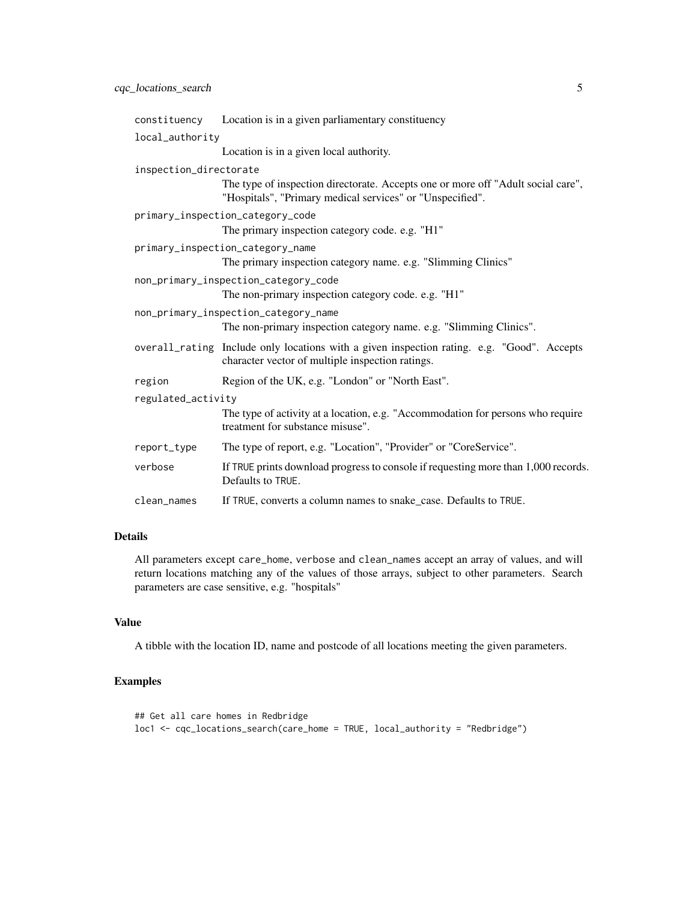|                        | constituency Location is in a given parliamentary constituency                                                                                 |
|------------------------|------------------------------------------------------------------------------------------------------------------------------------------------|
| local_authority        |                                                                                                                                                |
|                        | Location is in a given local authority.                                                                                                        |
| inspection_directorate |                                                                                                                                                |
|                        | The type of inspection directorate. Accepts one or more off "Adult social care",<br>"Hospitals", "Primary medical services" or "Unspecified".  |
|                        | primary_inspection_category_code                                                                                                               |
|                        | The primary inspection category code. e.g. "H1"                                                                                                |
|                        | primary_inspection_category_name                                                                                                               |
|                        | The primary inspection category name. e.g. "Slimming Clinics"                                                                                  |
|                        | non_primary_inspection_category_code                                                                                                           |
|                        | The non-primary inspection category code. e.g. "H1"                                                                                            |
|                        | non_primary_inspection_category_name                                                                                                           |
|                        | The non-primary inspection category name. e.g. "Slimming Clinics".                                                                             |
|                        | overall_rating Include only locations with a given inspection rating. e.g. "Good". Accepts<br>character vector of multiple inspection ratings. |
| region                 | Region of the UK, e.g. "London" or "North East".                                                                                               |
| regulated_activity     |                                                                                                                                                |
|                        | The type of activity at a location, e.g. "Accommodation for persons who require<br>treatment for substance misuse".                            |
| report_type            | The type of report, e.g. "Location", "Provider" or "CoreService".                                                                              |
| verbose                | If TRUE prints download progress to console if requesting more than 1,000 records.<br>Defaults to TRUE.                                        |
| clean_names            | If TRUE, converts a column names to snake_case. Defaults to TRUE.                                                                              |

#### Details

All parameters except care\_home, verbose and clean\_names accept an array of values, and will return locations matching any of the values of those arrays, subject to other parameters. Search parameters are case sensitive, e.g. "hospitals"

#### Value

A tibble with the location ID, name and postcode of all locations meeting the given parameters.

#### Examples

```
## Get all care homes in Redbridge
loc1 <- cqc_locations_search(care_home = TRUE, local_authority = "Redbridge")
```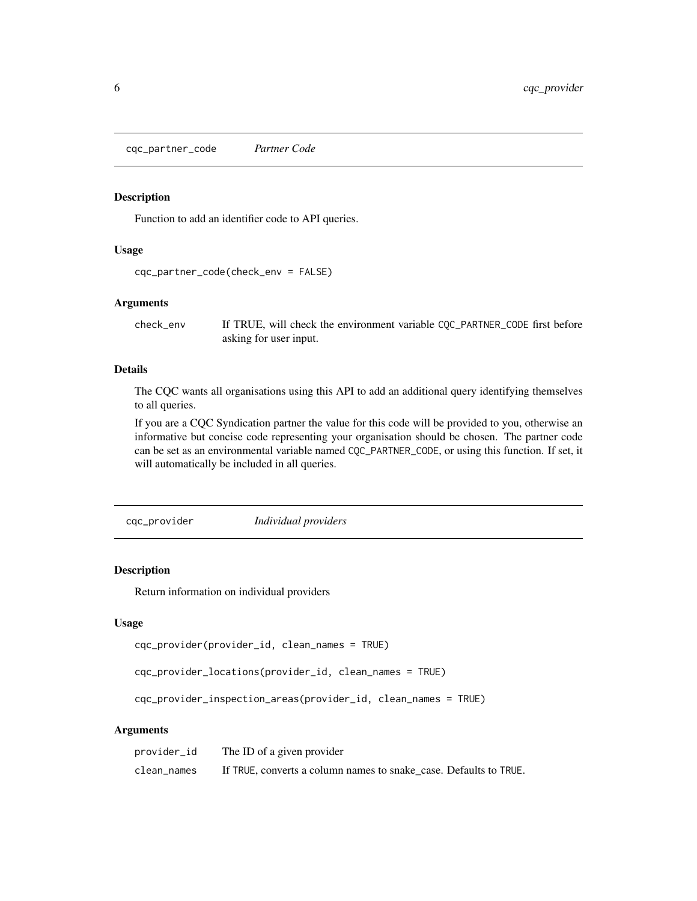<span id="page-5-1"></span><span id="page-5-0"></span>cqc\_partner\_code *Partner Code*

#### Description

Function to add an identifier code to API queries.

#### Usage

```
cqc_partner_code(check_env = FALSE)
```
#### Arguments

check\_env If TRUE, will check the environment variable CQC\_PARTNER\_CODE first before asking for user input.

#### Details

The CQC wants all organisations using this API to add an additional query identifying themselves to all queries.

If you are a CQC Syndication partner the value for this code will be provided to you, otherwise an informative but concise code representing your organisation should be chosen. The partner code can be set as an environmental variable named CQC\_PARTNER\_CODE, or using this function. If set, it will automatically be included in all queries.

cqc\_provider *Individual providers*

#### Description

Return information on individual providers

#### Usage

```
cqc_provider(provider_id, clean_names = TRUE)
```

```
cqc_provider_locations(provider_id, clean_names = TRUE)
```
cqc\_provider\_inspection\_areas(provider\_id, clean\_names = TRUE)

| provider_id | The ID of a given provider                                        |
|-------------|-------------------------------------------------------------------|
| clean names | If TRUE, converts a column names to snake case. Defaults to TRUE. |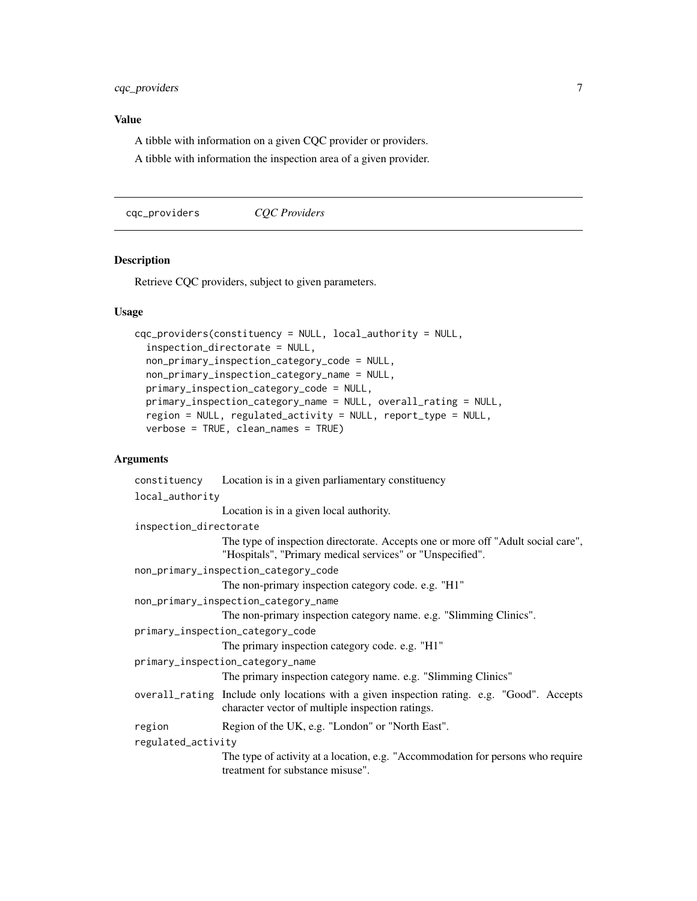#### <span id="page-6-0"></span>Value

A tibble with information on a given CQC provider or providers.

A tibble with information the inspection area of a given provider.

cqc\_providers *CQC Providers*

#### Description

Retrieve CQC providers, subject to given parameters.

#### Usage

```
cqc_providers(constituency = NULL, local_authority = NULL,
  inspection_directorate = NULL,
  non_primary_inspection_category_code = NULL,
 non_primary_inspection_category_name = NULL,
 primary_inspection_category_code = NULL,
 primary_inspection_category_name = NULL, overall_rating = NULL,
  region = NULL, regulated_activity = NULL, report_type = NULL,
  verbose = TRUE, clean_names = TRUE)
```

|                                  | constituency Location is in a given parliamentary constituency                                                                                 |  |  |  |
|----------------------------------|------------------------------------------------------------------------------------------------------------------------------------------------|--|--|--|
| local_authority                  |                                                                                                                                                |  |  |  |
|                                  | Location is in a given local authority.                                                                                                        |  |  |  |
| inspection_directorate           |                                                                                                                                                |  |  |  |
|                                  | The type of inspection directorate. Accepts one or more off "Adult social care",<br>"Hospitals", "Primary medical services" or "Unspecified".  |  |  |  |
|                                  | non_primary_inspection_category_code                                                                                                           |  |  |  |
|                                  | The non-primary inspection category code. e.g. "H1"                                                                                            |  |  |  |
|                                  | non_primary_inspection_category_name                                                                                                           |  |  |  |
|                                  | The non-primary inspection category name. e.g. "Slimming Clinics".                                                                             |  |  |  |
| primary_inspection_category_code |                                                                                                                                                |  |  |  |
|                                  | The primary inspection category code. e.g. "H1"                                                                                                |  |  |  |
| primary_inspection_category_name |                                                                                                                                                |  |  |  |
|                                  | The primary inspection category name. e.g. "Slimming Clinics"                                                                                  |  |  |  |
|                                  | overall_rating Include only locations with a given inspection rating. e.g. "Good". Accepts<br>character vector of multiple inspection ratings. |  |  |  |
| region                           | Region of the UK, e.g. "London" or "North East".                                                                                               |  |  |  |
| regulated_activity               |                                                                                                                                                |  |  |  |
|                                  | The type of activity at a location, e.g. "Accommodation for persons who require<br>treatment for substance misuse".                            |  |  |  |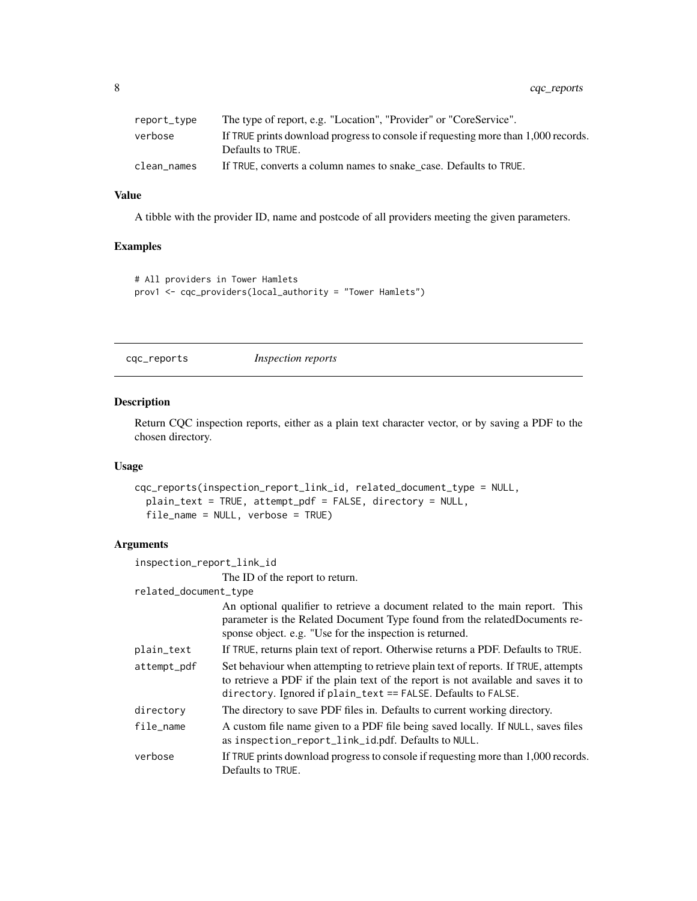<span id="page-7-0"></span>

| report_type | The type of report, e.g. "Location", "Provider" or "CoreService".                                       |
|-------------|---------------------------------------------------------------------------------------------------------|
| verbose     | If TRUE prints download progress to console if requesting more than 1,000 records.<br>Defaults to TRUE. |
| clean names | If TRUE, converts a column names to snake case. Defaults to TRUE.                                       |

#### Value

A tibble with the provider ID, name and postcode of all providers meeting the given parameters.

#### Examples

```
# All providers in Tower Hamlets
prov1 <- cqc_providers(local_authority = "Tower Hamlets")
```
cqc\_reports *Inspection reports*

### Description

Return CQC inspection reports, either as a plain text character vector, or by saving a PDF to the chosen directory.

#### Usage

```
cqc_reports(inspection_report_link_id, related_document_type = NULL,
 plain_text = TRUE, attempt_pdf = FALSE, directory = NULL,
  file_name = NULL, verbose = TRUE)
```

| inspection_report_link_id |                                                                                                                                                                                                                                           |
|---------------------------|-------------------------------------------------------------------------------------------------------------------------------------------------------------------------------------------------------------------------------------------|
|                           | The ID of the report to return.                                                                                                                                                                                                           |
| related_document_type     |                                                                                                                                                                                                                                           |
|                           | An optional qualifier to retrieve a document related to the main report. This<br>parameter is the Related Document Type found from the related Documents re-<br>sponse object. e.g. "Use for the inspection is returned.                  |
| plain_text                | If TRUE, returns plain text of report. Otherwise returns a PDF. Defaults to TRUE.                                                                                                                                                         |
| attempt_pdf               | Set behaviour when attempting to retrieve plain text of reports. If TRUE, attempts<br>to retrieve a PDF if the plain text of the report is not available and saves it to<br>directory. Ignored if plain_text == FALSE. Defaults to FALSE. |
| directory                 | The directory to save PDF files in. Defaults to current working directory.                                                                                                                                                                |
| file_name                 | A custom file name given to a PDF file being saved locally. If NULL, saves files<br>as inspection_report_link_id.pdf. Defaults to NULL.                                                                                                   |
| verbose                   | If TRUE prints download progress to console if requesting more than 1,000 records.<br>Defaults to TRUE.                                                                                                                                   |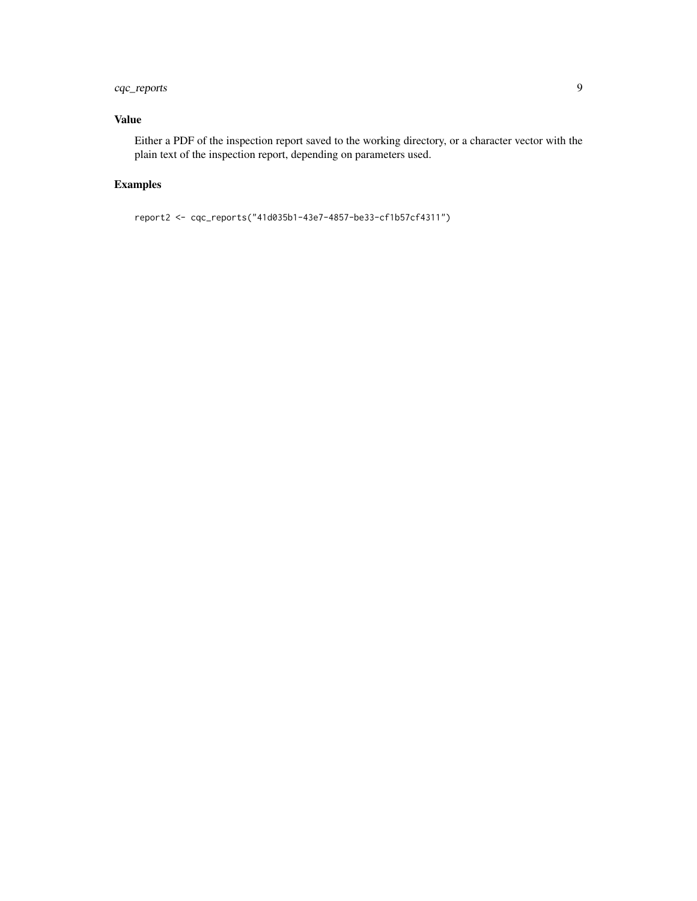#### cqc\_reports 9

#### Value

Either a PDF of the inspection report saved to the working directory, or a character vector with the plain text of the inspection report, depending on parameters used.

#### Examples

```
report2 <- cqc_reports("41d035b1-43e7-4857-be33-cf1b57cf4311")
```